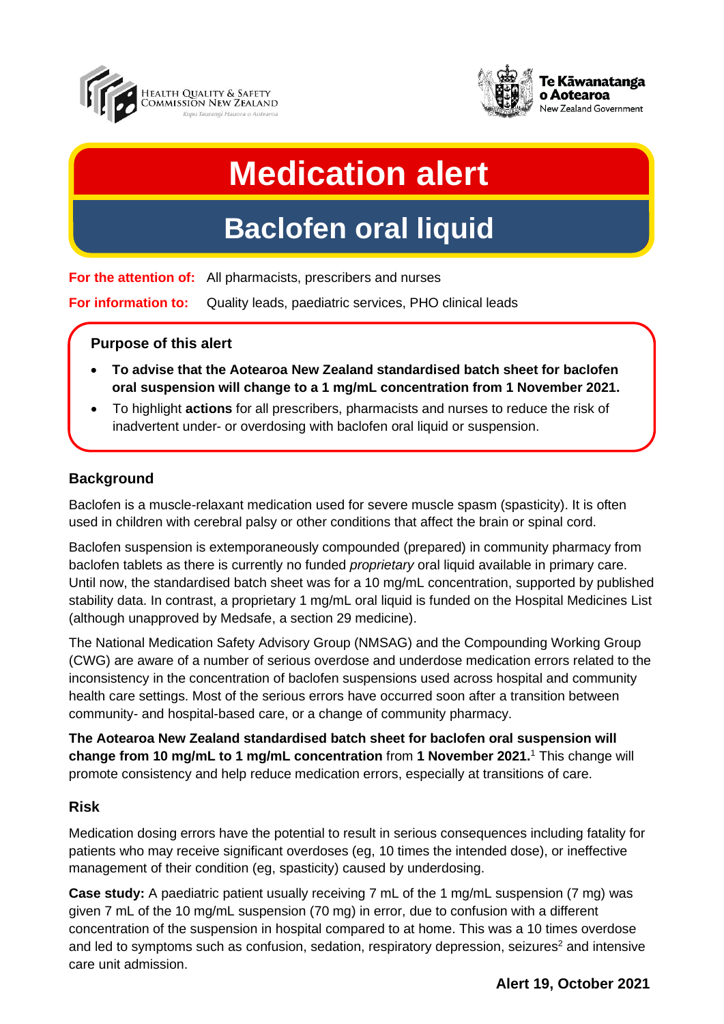



# **Medication alert**

# **Baclofen oral liquid**

**For the attention of:** All pharmacists, prescribers and nurses

**For information to:** Quality leads, paediatric services, PHO clinical leads

# **Purpose of this alert**

- **To advise that the Aotearoa New Zealand standardised batch sheet for baclofen oral suspension will change to a 1 mg/mL concentration from 1 November 2021.**
- To highlight **actions** for all prescribers, pharmacists and nurses to reduce the risk of inadvertent under- or overdosing with baclofen oral liquid or suspension.

# **Background**

Baclofen is a muscle-relaxant medication used for severe muscle spasm (spasticity). It is often used in children with cerebral palsy or other conditions that affect the brain or spinal cord.

Baclofen suspension is extemporaneously compounded (prepared) in community pharmacy from baclofen tablets as there is currently no funded *proprietary* oral liquid available in primary care. Until now, the standardised batch sheet was for a 10 mg/mL concentration, supported by published stability data. In contrast, a proprietary 1 mg/mL oral liquid is funded on the Hospital Medicines List (although unapproved by Medsafe, a section 29 medicine).

The National Medication Safety Advisory Group (NMSAG) and the Compounding Working Group (CWG) are aware of a number of serious overdose and underdose medication errors related to the inconsistency in the concentration of baclofen suspensions used across hospital and community health care settings. Most of the serious errors have occurred soon after a transition between community- and hospital-based care, or a change of community pharmacy.

**The Aotearoa New Zealand standardised batch sheet for baclofen oral suspension will change from 10 mg/mL to 1 mg/mL concentration** from **1 November 2021.** <sup>1</sup> This change will promote consistency and help reduce medication errors, especially at transitions of care.

# **Risk**

Medication dosing errors have the potential to result in serious consequences including fatality for patients who may receive significant overdoses (eg, 10 times the intended dose), or ineffective management of their condition (eg, spasticity) caused by underdosing.

**Case study:** A paediatric patient usually receiving 7 mL of the 1 mg/mL suspension (7 mg) was given 7 mL of the 10 mg/mL suspension (70 mg) in error, due to confusion with a different concentration of the suspension in hospital compared to at home. This was a 10 times overdose and led to symptoms such as confusion, sedation, respiratory depression, seizures<sup>2</sup> and intensive care unit admission.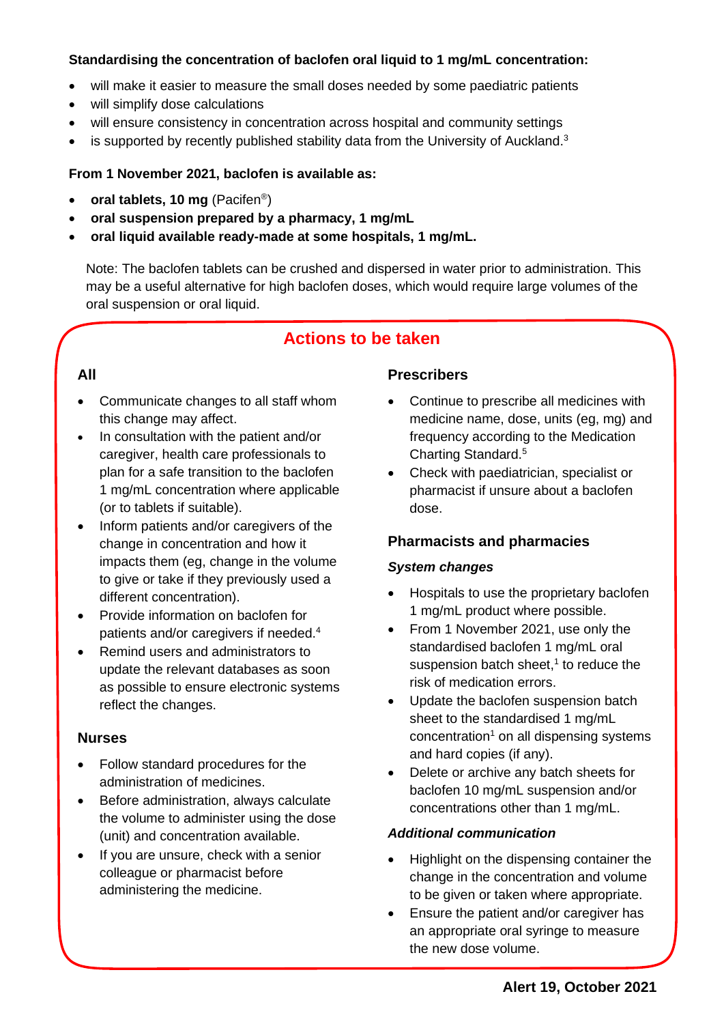## **Standardising the concentration of baclofen oral liquid to 1 mg/mL concentration:**

- will make it easier to measure the small doses needed by some paediatric patients
- will simplify dose calculations
- will ensure consistency in concentration across hospital and community settings
- is supported by recently published stability data from the University of Auckland. $3$

## **From 1 November 2021, baclofen is available as:**

- **oral tablets, 10 mg** (Pacifen® )
- **oral suspension prepared by a pharmacy, 1 mg/mL**
- **oral liquid available ready-made at some hospitals, 1 mg/mL.**

Note: The baclofen tablets can be crushed and dispersed in water prior to administration. This may be a useful alternative for high baclofen doses, which would require large volumes of the oral suspension or oral liquid.

# **Actions to be taken**

# **All**

- Communicate changes to all staff whom this change may affect.
- In consultation with the patient and/or caregiver, health care professionals to plan for a safe transition to the baclofen 1 mg/mL concentration where applicable (or to tablets if suitable).
- Inform patients and/or caregivers of the change in concentration and how it impacts them (eg, change in the volume to give or take if they previously used a different concentration).
- Provide information on baclofen for patients and/or caregivers if needed. 4
- Remind users and administrators to update the relevant databases as soon as possible to ensure electronic systems reflect the changes.

# **Nurses**

- Follow standard procedures for the administration of medicines.
- Before administration, always calculate the volume to administer using the dose (unit) and concentration available.
- If you are unsure, check with a senior colleague or pharmacist before administering the medicine.

# **Prescribers**

- Continue to prescribe all medicines with medicine name, dose, units (eg, mg) and frequency according to the Medication Charting Standard. 5
- Check with paediatrician, specialist or pharmacist if unsure about a baclofen dose.

# **Pharmacists and pharmacies**

#### *System changes*

- Hospitals to use the proprietary baclofen 1 mg/mL product where possible.
- From 1 November 2021, use only the standardised baclofen 1 mg/mL oral suspension batch sheet, 1 to reduce the risk of medication errors.
- Update the baclofen suspension batch sheet to the standardised 1 mg/mL  $concentration<sup>1</sup>$  on all dispensing systems and hard copies (if any).
- Delete or archive any batch sheets for baclofen 10 mg/mL suspension and/or concentrations other than 1 mg/mL.

#### *Additional communication*

- Highlight on the dispensing container the change in the concentration and volume to be given or taken where appropriate.
- Ensure the patient and/or caregiver has an appropriate oral syringe to measure the new dose volume.